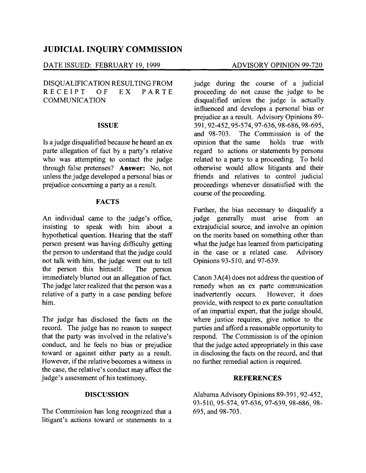# **JUDICIAL INQUIRY COMMISSION**

## DATE ISSUED: FEBRUARY 19,1999 ADVISORY OPINION 99-720

DISOUALIFICATION RESULTING FROM RECEIPT OF EX PARTE **COMMUNICATION** 

### **ISSUE**

Is a judge disqualified because he heard an ex parte allegation of fact by a party's relative who was attempting to contact the judge through false pretenses? **Answer:** No, not unless the judge developed a personal bias or prejudice concerning a party as a result.

# **FACTS**

An individual came to the judge's office, insisting to speak with him about a hypothetical question. Hearing that the staff person present was having difficulty getting the person to understand that the judge could not talk with him, the judge went out to tell the person this himself. The person immediately blurted out an allegation of fact. The judge later realized that the person was a relative of a party in a case pending before him.

The judge has disclosed the facts on the record. The judge has no reason to suspect that the party was involved in the relative's conduct, and he feels no bias or prejudice toward or against either party as a result. However, if the relative becomes a witness in the case, the relative's conduct may affect the judge's assessment of his testimony.

### **DISCUSSION**

The Commission has long recognized that a litigant's actions toward or statements to a

judge during the course of a judicial proceeding do not cause the judge to be disqualified unless the judge is actually influenced and develops a personal bias or prejudice as a result. Advisory Opinions 89 391,92-452,95-574,97-636,98-686,98-695, and 98-703. The Commission is of the opinion that the same holds true with regard to actions or statements by persons related to a party to a proceeding. To hold otherwise would allow litigants and their friends and relatives to control judicial proceedings whenever dissatisfied with the course of the proceeding.

Further, the bias necessary to disqualify a judge generally must arise from an extrajudicial source, and involve an opinion on the merits based on something other than what the judge has learned from participating in the case or a related case. Advisory Opinions 93-510, and 97-639.

Canon 3A(4) does not address the question of remedy when an ex parte communication inadvertently occurs. However, it does provide, with respect to ex parte consultation of an impartial expert, that the judge should, where justice requires, give notice to the parties and afford a reasonable opportunity to respond. The Commission is of the opinion that the judge acted appropriately in this case in disclosing the facts on the record, and that no further remedial action is required.

#### **REFERENCES**

Alabama Advisory Opinions 89-391, 92-452, 93-510,95-574,97-636,97-639,98-686,98 695, and 98-703.